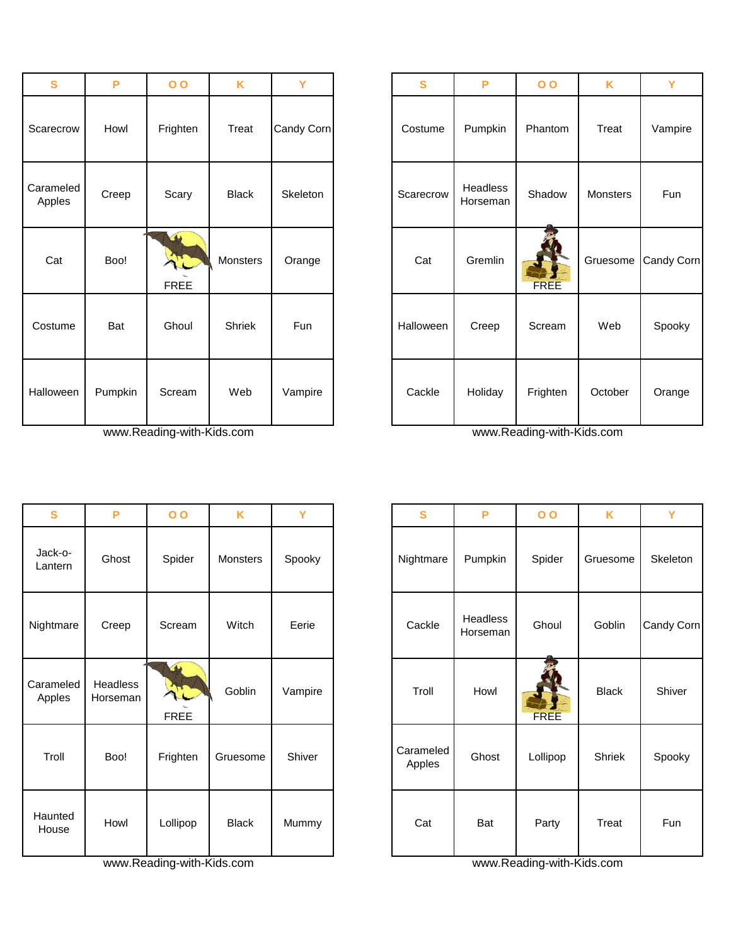| S                   | P       | $\overline{O}$             | K             | Y          | $\mathbf{s}$ | P                    | 0 <sub>0</sub> | K        | Y        |
|---------------------|---------|----------------------------|---------------|------------|--------------|----------------------|----------------|----------|----------|
| Scarecrow           | Howl    | Frighten                   | Treat         | Candy Corn | Costume      | Pumpkin              | Phantom        | Treat    | Vampire  |
| Carameled<br>Apples | Creep   | Scary                      | <b>Black</b>  | Skeleton   | Scarecrow    | Headless<br>Horseman | Shadow         | Monsters | Fun      |
| Cat                 | Boo!    | $\triangle$<br><b>FREE</b> | Monsters      | Orange     | Cat          | Gremlin              | FREE           | Gruesome | Candy Co |
| Costume             | Bat     | Ghoul                      | <b>Shriek</b> | Fun        | Halloween    | Creep                | Scream         | Web      | Spooky   |
| Halloween           | Pumpkin | Scream                     | Web           | Vampire    | Cackle       | Holiday              | Frighten       | October  | Orange   |

www.Reading-with-Kids.com www.Reading-with-Kids.com www.Reading-with-Kids.com

| $\mathbf{s}$        | P                           | 0 <sub>0</sub>             | K            | Y       | S                   | P                    | $\overline{O}$ | K            |               |
|---------------------|-----------------------------|----------------------------|--------------|---------|---------------------|----------------------|----------------|--------------|---------------|
| Jack-o-<br>Lantern  | Ghost                       | Spider                     | Monsters     | Spooky  | Nightmare           | Pumpkin              | Spider         | Gruesome     | <b>Skelet</b> |
| Nightmare           | Creep                       | Scream                     | Witch        | Eerie   | Cackle              | Headless<br>Horseman | Ghoul          | Goblin       | Candy 0       |
| Carameled<br>Apples | <b>Headless</b><br>Horseman | $\triangle$<br><b>FREE</b> | Goblin       | Vampire | Troll               | Howl                 | FREE           | <b>Black</b> | Shive         |
| Troll               | Boo!                        | Frighten                   | Gruesome     | Shiver  | Carameled<br>Apples | Ghost                | Lollipop       | Shriek       | Spool         |
| Haunted<br>House    | Howl                        | Lollipop                   | <b>Black</b> | Mummy   | Cat                 | Bat                  | Party          | Treat        |               |

www.Reading-with-Kids.com www.Reading-with-Kids.com www.Reading-with-Kids.com

| S             | P       | 0 <sub>0</sub>                  | K            | Y          | S         | P                    | $\overline{O}$ | K        | Y          |
|---------------|---------|---------------------------------|--------------|------------|-----------|----------------------|----------------|----------|------------|
| ecrow         | Howl    | Frighten                        | Treat        | Candy Corn | Costume   | Pumpkin              | Phantom        | Treat    | Vampire    |
| meled<br>ples | Creep   | Scary                           | <b>Black</b> | Skeleton   | Scarecrow | Headless<br>Horseman | Shadow         | Monsters | Fun        |
| at:           | Boo!    | $\blacktriangle$<br><b>FREE</b> | Monsters     | Orange     | Cat       | Gremlin              | <b>FREE</b>    | Gruesome | Candy Corn |
| tume          | Bat     | Ghoul                           | Shriek       | Fun        | Halloween | Creep                | Scream         | Web      | Spooky     |
| ween          | Pumpkin | Scream                          | Web          | Vampire    | Cackle    | Holiday              | Frighten       | October  | Orange     |

| S                  | P                    | $\overline{O}$                          | K            | Y       | S                   | P                    | $\overline{O}$ | K            | Y          |
|--------------------|----------------------|-----------------------------------------|--------------|---------|---------------------|----------------------|----------------|--------------|------------|
| Jack-o-<br>Lantern | Ghost                | Spider                                  | Monsters     | Spooky  | Nightmare           | Pumpkin              | Spider         | Gruesome     | Skeleton   |
| ightmare           | Creep                | Scream                                  | Witch        | Eerie   | Cackle              | Headless<br>Horseman | Ghoul          | Goblin       | Candy Corn |
| arameled<br>Apples | Headless<br>Horseman | $\left( \bigwedge$<br>AL<br><b>FREE</b> | Goblin       | Vampire | Troll               | Howl                 | <b>FREE</b>    | <b>Black</b> | Shiver     |
| Troll              | Boo!                 | Frighten                                | Gruesome     | Shiver  | Carameled<br>Apples | Ghost                | Lollipop       | Shriek       | Spooky     |
| Haunted<br>House   | Howl                 | Lollipop                                | <b>Black</b> | Mummy   | Cat                 | Bat                  | Party          | Treat        | Fun        |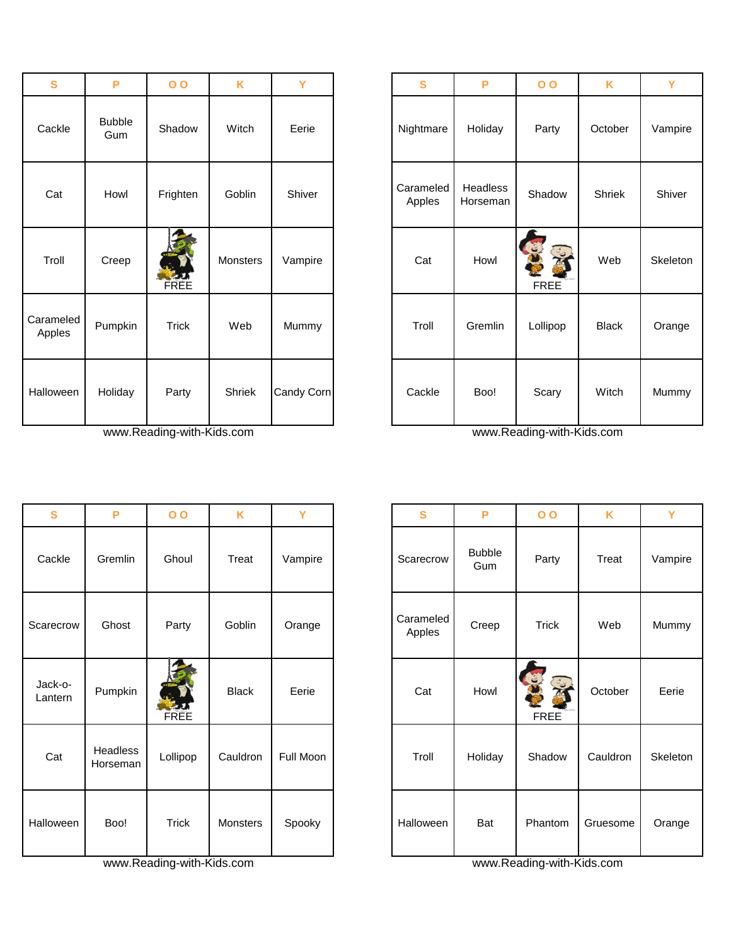| S                   | P                    | $\overline{O}$ | K        | Y          | S                   | P                    | 0 <sub>0</sub>             | K            | Y        |
|---------------------|----------------------|----------------|----------|------------|---------------------|----------------------|----------------------------|--------------|----------|
| Cackle              | <b>Bubble</b><br>Gum | Shadow         | Witch    | Eerie      | Nightmare           | Holiday              | Party                      | October      | Vampire  |
| Cat                 | Howl                 | Frighten       | Goblin   | Shiver     | Carameled<br>Apples | Headless<br>Horseman | Shadow                     | Shriek       | Shiver   |
| Troll               | Creep                | <b>EXAMPLE</b> | Monsters | Vampire    | Cat                 | Howl                 | C<br>C. New<br><b>FREE</b> | Web          | Skeletor |
| Carameled<br>Apples | Pumpkin              | Trick          | Web      | Mummy      | Troll               | Gremlin              | Lollipop                   | <b>Black</b> | Orange   |
| Halloween           | Holiday              | Party          | Shriek   | Candy Corn | Cackle              | Boo!                 | Scary                      | Witch        | Mummy    |

www.Reading-with-Kids.com www.Reading-with-Kids.com www.Reading-with-Kids.com

| $\mathbf{s}$       | P                    | $\overline{O}$           | K            | Y         | S                   | P                    | $\overline{O}$             | K        | Y        |
|--------------------|----------------------|--------------------------|--------------|-----------|---------------------|----------------------|----------------------------|----------|----------|
| Cackle             | Gremlin              | Ghoul                    | Treat        | Vampire   | Scarecrow           | <b>Bubble</b><br>Gum | Party                      | Treat    | Vampire  |
| Scarecrow          | Ghost                | Party                    | Goblin       | Orange    | Carameled<br>Apples | Creep                | <b>Trick</b>               | Web      | Mummy    |
| Jack-o-<br>Lantern | Pumpkin              | $\sum_{i=1}^{n}$<br>FREE | <b>Black</b> | Eerie     | Cat                 | Howl                 | SOF<br>EXC.<br><b>FREE</b> | October  | Eerie    |
| Cat                | Headless<br>Horseman | Lollipop                 | Cauldron     | Full Moon | Troll               | Holiday              | Shadow                     | Cauldron | Skeletor |
| Halloween          | Boo!                 | Trick                    | Monsters     | Spooky    | Halloween           | Bat                  | Phantom                    | Gruesome | Orange   |

www.Reading-with-Kids.com www.Reading-with-Kids.com

| S                  | P                    | $\overline{O}$ | K        | Y          | $\mathbf{s}$        | P                    | $\overline{O}$             | K            |          |
|--------------------|----------------------|----------------|----------|------------|---------------------|----------------------|----------------------------|--------------|----------|
| Cackle             | <b>Bubble</b><br>Gum | Shadow         | Witch    | Eerie      | Nightmare           | Holiday              | Party                      | October      | Vampire  |
| Cat                | Howl                 | Frighten       | Goblin   | Shiver     | Carameled<br>Apples | Headless<br>Horseman | Shadow                     | Shriek       |          |
| Troll              | Creep                | FREE           | Monsters | Vampire    | Cat                 | Howl                 | S<br>J<br>C<br><b>FREE</b> | Web          | Skeleton |
| arameled<br>Apples | Pumpkin              | <b>Trick</b>   | Web      | Mummy      | Troll               | Gremlin              | Lollipop                   | <b>Black</b> | Orange   |
| alloween           | Holiday              | Party          | Shriek   | Candy Corn | Cackle              | Boo!                 | Scary                      | Witch        | Mummy    |

| S              | P                           | $\overline{O}$ | K            | Y         | S                   | P                    | 0 <sub>0</sub>   | K        | Y        |
|----------------|-----------------------------|----------------|--------------|-----------|---------------------|----------------------|------------------|----------|----------|
| ckle           | Gremlin                     | Ghoul          | Treat        | Vampire   | Scarecrow           | <b>Bubble</b><br>Gum | Party            | Treat    | Vampire  |
| ecrow          | Ghost                       | Party          | Goblin       | Orange    | Carameled<br>Apples | Creep                | <b>Trick</b>     | Web      | Mummy    |
| ck-o−<br>าtern | Pumpkin                     | FREE           | <b>Black</b> | Eerie     | Cat                 | Howl                 | E<br><b>FREE</b> | October  | Eerie    |
| àt,            | <b>Headless</b><br>Horseman | Lollipop       | Cauldron     | Full Moon | Troll               | Holiday              | Shadow           | Cauldron | Skeleton |
| ween           | Boo!                        | <b>Trick</b>   | Monsters     | Spooky    | Halloween           | Bat                  | Phantom          | Gruesome | Orange   |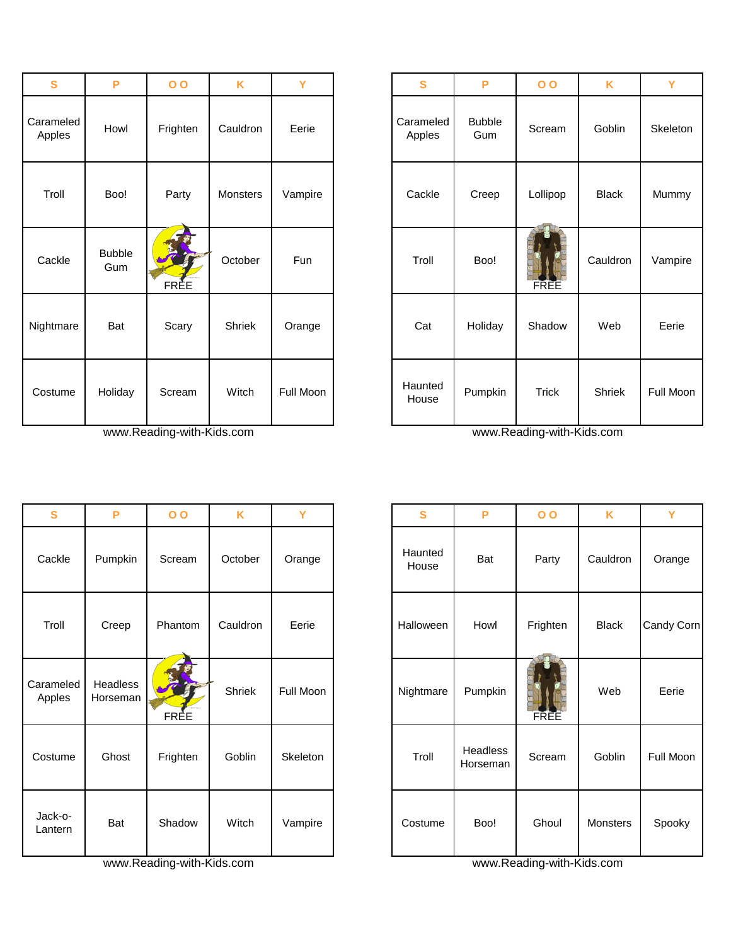| $\mathbf{s}$        | P                    | 0 <sub>0</sub> | K        | Y         | $\mathbf{s}$        | P                    | $\overline{O}$ | K            | Y       |
|---------------------|----------------------|----------------|----------|-----------|---------------------|----------------------|----------------|--------------|---------|
| Carameled<br>Apples | Howl                 | Frighten       | Cauldron | Eerie     | Carameled<br>Apples | <b>Bubble</b><br>Gum | Scream         | Goblin       | Skeleto |
| Troll               | Boo!                 | Party          | Monsters | Vampire   | Cackle              | Creep                | Lollipop       | <b>Black</b> | Mumm    |
| Cackle              | <b>Bubble</b><br>Gum | FRÈE           | October  | Fun       | Troll               | Boo!                 | FREE           | Cauldron     | Vampi   |
| Nightmare           | Bat                  | Scary          | Shriek   | Orange    | Cat                 | Holiday              | Shadow         | Web          | Eerie   |
| Costume             | Holiday              | Scream         | Witch    | Full Moon | Haunted<br>House    | Pumpkin              | Trick          | Shriek       | Full Mo |

www.Reading-with-Kids.com www.Reading-with-Kids.com

| S                   | P                    | 0 <sub>0</sub> | K        | Y         | S                | P                    | 0 <sub>0</sub> | K            | Y        |
|---------------------|----------------------|----------------|----------|-----------|------------------|----------------------|----------------|--------------|----------|
| Cackle              | Pumpkin              | Scream         | October  | Orange    | Haunted<br>House | Bat                  | Party          | Cauldron     | Orange   |
| Troll               | Creep                | Phantom        | Cauldron | Eerie     | Halloween        | Howl                 | Frighten       | <b>Black</b> | Candy Co |
| Carameled<br>Apples | Headless<br>Horseman | FREE           | Shriek   | Full Moon | Nightmare        | Pumpkin              | <b>FREE</b>    | Web          | Eerie    |
| Costume             | Ghost                | Frighten       | Goblin   | Skeleton  | Troll            | Headless<br>Horseman | Scream         | Goblin       | Full Moo |
| Jack-o-<br>Lantern  | Bat                  | Shadow         | Witch    | Vampire   | Costume          | Boo!                 | Ghoul          | Monsters     | Spooky   |

www.Reading-with-Kids.com www.Reading-with-Kids.com www.Reading-with-Kids.com

| $\mathbf{s}$    | P                    | 0 <sub>0</sub> | K        | Ÿ         | $\mathbf{s}$        | P                    | 0 <sub>0</sub> | K            | Y         |
|-----------------|----------------------|----------------|----------|-----------|---------------------|----------------------|----------------|--------------|-----------|
| ameled<br>pples | Howl                 | Frighten       | Cauldron | Eerie     | Carameled<br>Apples | <b>Bubble</b><br>Gum | Scream         | Goblin       | Skeleton  |
| Troll           | Boo!                 | Party          | Monsters | Vampire   | Cackle              | Creep                | Lollipop       | <b>Black</b> | Mummy     |
| ackle:          | <b>Bubble</b><br>Gum | <b>FRÈE</b>    | October  | Fun       | Troll               | Boo!                 | FREE           | Cauldron     | Vampire   |
| <b>htmare</b>   | Bat                  | Scary          | Shriek   | Orange    | Cat                 | Holiday              | Shadow         | Web          | Eerie     |
| ostume          | Holiday              | Scream         | Witch    | Full Moon | Haunted<br>House    | Pumpkin              | <b>Trick</b>   | Shriek       | Full Moon |

| $\mathbf{s}$     | P                    | $\overline{O}$ | K        | Y         | $\mathbf{s}$     | P                    | $\overline{O}$ | K            | Y          |
|------------------|----------------------|----------------|----------|-----------|------------------|----------------------|----------------|--------------|------------|
| ackle            | Pumpkin              | Scream         | October  | Orange    | Haunted<br>House | Bat                  | Party          | Cauldron     | Orange     |
| Troll            | Creep                | Phantom        | Cauldron | Eerie     | Halloween        | Howl                 | Frighten       | <b>Black</b> | Candy Corn |
| ameled<br>pples  | Headless<br>Horseman | FREE           | Shriek   | Full Moon | Nightmare        | Pumpkin              | FREE           | Web          | Eerie      |
| ostume           | Ghost                | Frighten       | Goblin   | Skeleton  | Troll            | Headless<br>Horseman | Scream         | Goblin       | Full Moon  |
| ack-o-<br>antern | Bat                  | Shadow         | Witch    | Vampire   | Costume          | Boo!                 | Ghoul          | Monsters     | Spooky     |